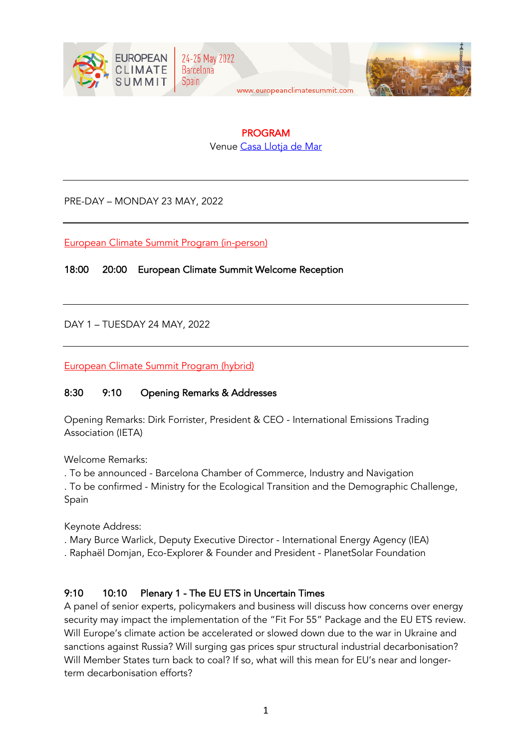



# PROGRAM

Venue Casa Llotja de Mar

PRE-DAY – MONDAY 23 MAY, 2022

European Climate Summit Program (in-person)

18:00 20:00 European Climate Summit Welcome Reception

DAY 1 – TUESDAY 24 MAY, 2022

European Climate Summit Program (hybrid)

### 8:30 9:10 Opening Remarks & Addresses

Opening Remarks: Dirk Forrister, President & CEO - International Emissions Trading Association (IETA)

Welcome Remarks:

. To be announced - Barcelona Chamber of Commerce, Industry and Navigation

. To be confirmed - Ministry for the Ecological Transition and the Demographic Challenge, Spain

Keynote Address:

- . Mary Burce Warlick, Deputy Executive Director International Energy Agency (IEA)
- . Raphaël Domjan, Eco-Explorer & Founder and President PlanetSolar Foundation

### 9:10 10:10 Plenary 1 - The EU ETS in Uncertain Times

A panel of senior experts, policymakers and business will discuss how concerns over energy security may impact the implementation of the "Fit For 55" Package and the EU ETS review. Will Europe's climate action be accelerated or slowed down due to the war in Ukraine and sanctions against Russia? Will surging gas prices spur structural industrial decarbonisation? Will Member States turn back to coal? If so, what will this mean for EU's near and longerterm decarbonisation efforts?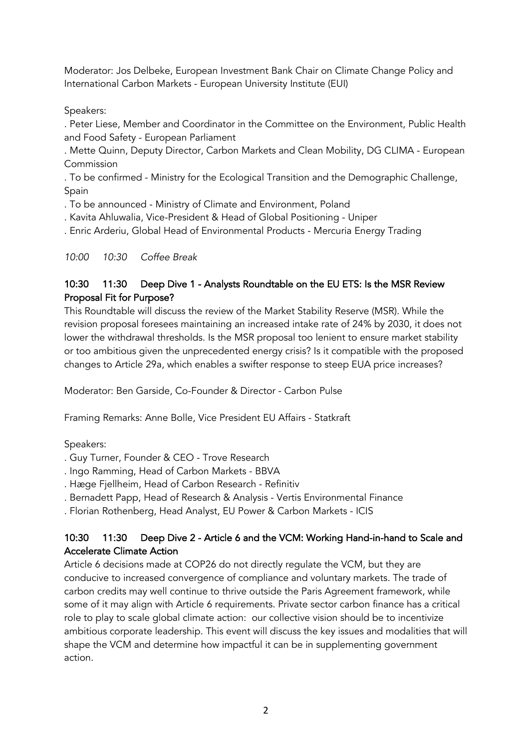Moderator: Jos Delbeke, European Investment Bank Chair on Climate Change Policy and International Carbon Markets - European University Institute (EUI)

#### Speakers:

. Peter Liese, Member and Coordinator in the Committee on the Environment, Public Health and Food Safety - European Parliament

. Mette Quinn, Deputy Director, Carbon Markets and Clean Mobility, DG CLIMA - European Commission

. To be confirmed - Ministry for the Ecological Transition and the Demographic Challenge, Spain

. To be announced - Ministry of Climate and Environment, Poland

. Kavita Ahluwalia, Vice-President & Head of Global Positioning - Uniper

. Enric Arderiu, Global Head of Environmental Products - Mercuria Energy Trading

#### *10:00 10:30 Coffee Break*

# 10:30 11:30 Deep Dive 1 - Analysts Roundtable on the EU ETS: Is the MSR Review Proposal Fit for Purpose?

This Roundtable will discuss the review of the Market Stability Reserve (MSR). While the revision proposal foresees maintaining an increased intake rate of 24% by 2030, it does not lower the withdrawal thresholds. Is the MSR proposal too lenient to ensure market stability or too ambitious given the unprecedented energy crisis? Is it compatible with the proposed changes to Article 29a, which enables a swifter response to steep EUA price increases?

Moderator: Ben Garside, Co-Founder & Director - Carbon Pulse

Framing Remarks: Anne Bolle, Vice President EU Affairs - Statkraft

Speakers:

- . Guy Turner, Founder & CEO Trove Research
- . Ingo Ramming, Head of Carbon Markets BBVA
- . Hæge Fjellheim, Head of Carbon Research Refinitiv
- . Bernadett Papp, Head of Research & Analysis Vertis Environmental Finance

. Florian Rothenberg, Head Analyst, EU Power & Carbon Markets - ICIS

### 10:30 11:30 Deep Dive 2 - Article 6 and the VCM: Working Hand-in-hand to Scale and Accelerate Climate Action

Article 6 decisions made at COP26 do not directly regulate the VCM, but they are conducive to increased convergence of compliance and voluntary markets. The trade of carbon credits may well continue to thrive outside the Paris Agreement framework, while some of it may align with Article 6 requirements. Private sector carbon finance has a critical role to play to scale global climate action: our collective vision should be to incentivize ambitious corporate leadership. This event will discuss the key issues and modalities that will shape the VCM and determine how impactful it can be in supplementing government action.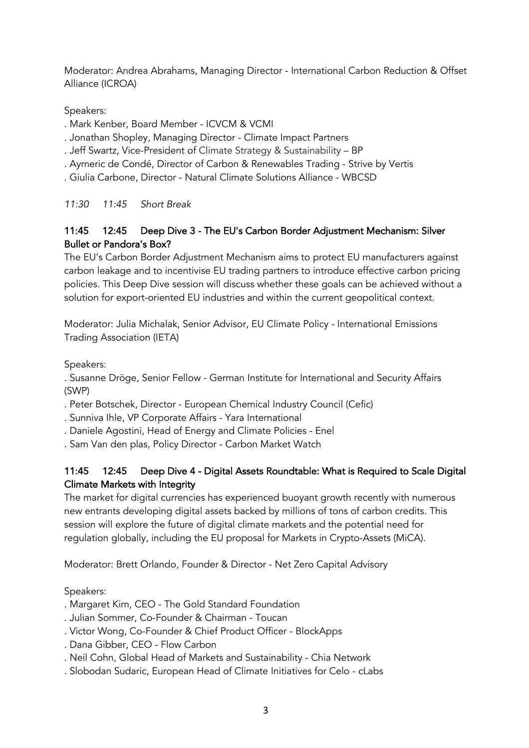Moderator: Andrea Abrahams, Managing Director - International Carbon Reduction & Offset Alliance (ICROA)

Speakers:

- . Mark Kenber, Board Member ICVCM & VCMI
- . Jonathan Shopley, Managing Director Climate Impact Partners
- . Jeff Swartz, Vice-President of Climate Strategy & Sustainability BP
- . Aymeric de Condé, Director of Carbon & Renewables Trading Strive by Vertis
- . Giulia Carbone, Director Natural Climate Solutions Alliance WBCSD

*11:30 11:45 Short Break*

# 11:45 12:45 Deep Dive 3 - The EU's Carbon Border Adjustment Mechanism: Silver Bullet or Pandora's Box?

The EU's Carbon Border Adjustment Mechanism aims to protect EU manufacturers against carbon leakage and to incentivise EU trading partners to introduce effective carbon pricing policies. This Deep Dive session will discuss whether these goals can be achieved without a solution for export-oriented EU industries and within the current geopolitical context.

Moderator: Julia Michalak, Senior Advisor, EU Climate Policy - International Emissions Trading Association (IETA)

Speakers:

. Susanne Dröge, Senior Fellow - German Institute for International and Security Affairs (SWP)

- . Peter Botschek, Director European Chemical Industry Council (Cefic)
- . Sunniva Ihle, VP Corporate Affairs Yara International
- . Daniele Agostini, Head of Energy and Climate Policies Enel
- . Sam Van den plas, Policy Director Carbon Market Watch

# 11:45 12:45 Deep Dive 4 - Digital Assets Roundtable: What is Required to Scale Digital Climate Markets with Integrity

The market for digital currencies has experienced buoyant growth recently with numerous new entrants developing digital assets backed by millions of tons of carbon credits. This session will explore the future of digital climate markets and the potential need for regulation globally, including the EU proposal for Markets in Crypto-Assets (MiCA).

Moderator: Brett Orlando, Founder & Director - Net Zero Capital Advisory

# Speakers:

- . Margaret Kim, CEO The Gold Standard Foundation
- . Julian Sommer, Co-Founder & Chairman Toucan
- . Victor Wong, Co-Founder & Chief Product Officer BlockApps
- . Dana Gibber, CEO Flow Carbon
- . Neil Cohn, Global Head of Markets and Sustainability Chia Network
- . Slobodan Sudaric, European Head of Climate Initiatives for Celo cLabs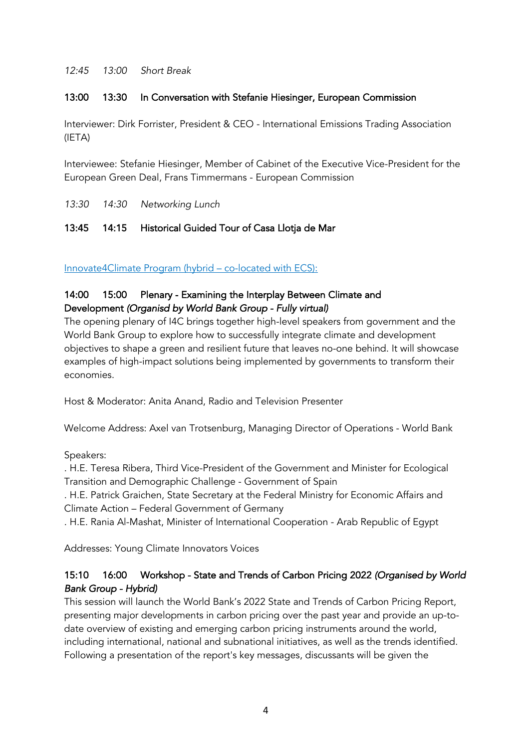*12:45 13:00 Short Break*

#### 13:00 13:30 In Conversation with Stefanie Hiesinger, European Commission

Interviewer: Dirk Forrister, President & CEO - International Emissions Trading Association (IETA)

Interviewee: Stefanie Hiesinger, Member of Cabinet of the Executive Vice-President for the European Green Deal, Frans Timmermans - European Commission

*13:30 14:30 Networking Lunch*

#### 13:45 14:15 Historical Guided Tour of Casa Llotja de Mar

Innovate4Climate Program (hybrid – co-located with ECS):

# 14:00 15:00 Plenary - Examining the Interplay Between Climate and Development *(Organisd by World Bank Group - Fully virtual)*

The opening plenary of I4C brings together high-level speakers from government and the World Bank Group to explore how to successfully integrate climate and development objectives to shape a green and resilient future that leaves no-one behind. It will showcase examples of high-impact solutions being implemented by governments to transform their economies.

Host & Moderator: Anita Anand, Radio and Television Presenter

Welcome Address: Axel van Trotsenburg, Managing Director of Operations - World Bank

Speakers:

. H.E. Teresa Ribera, Third Vice-President of the Government and Minister for Ecological Transition and Demographic Challenge - Government of Spain

. H.E. Patrick Graichen, State Secretary at the Federal Ministry for Economic Affairs and Climate Action – Federal Government of Germany

. H.E. Rania Al-Mashat, Minister of International Cooperation - Arab Republic of Egypt

Addresses: Young Climate Innovators Voices

#### 15:10 16:00 Workshop - State and Trends of Carbon Pricing 2022 *(Organised by World Bank Group - Hybrid)*

This session will launch the World Bank's 2022 State and Trends of Carbon Pricing Report, presenting major developments in carbon pricing over the past year and provide an up-todate overview of existing and emerging carbon pricing instruments around the world, including international, national and subnational initiatives, as well as the trends identified. Following a presentation of the report's key messages, discussants will be given the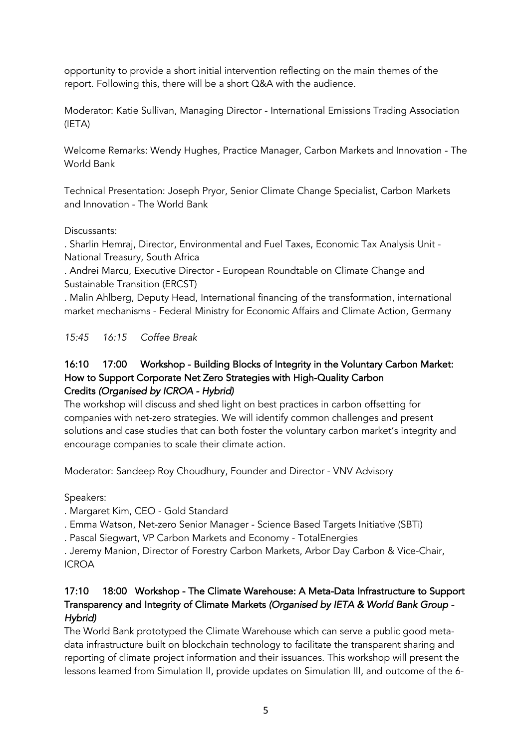opportunity to provide a short initial intervention reflecting on the main themes of the report. Following this, there will be a short Q&A with the audience.

Moderator: Katie Sullivan, Managing Director - International Emissions Trading Association (IETA)

Welcome Remarks: Wendy Hughes, Practice Manager, Carbon Markets and Innovation - The World Bank

Technical Presentation: Joseph Pryor, Senior Climate Change Specialist, Carbon Markets and Innovation - The World Bank

#### Discussants:

. Sharlin Hemraj, Director, Environmental and Fuel Taxes, Economic Tax Analysis Unit - National Treasury, South Africa

. Andrei Marcu, Executive Director - European Roundtable on Climate Change and Sustainable Transition (ERCST)

. Malin Ahlberg, Deputy Head, International financing of the transformation, international market mechanisms - Federal Ministry for Economic Affairs and Climate Action, Germany

*15:45 16:15 Coffee Break*

#### 16:10 17:00 Workshop - Building Blocks of Integrity in the Voluntary Carbon Market: How to Support Corporate Net Zero Strategies with High-Quality Carbon Credits *(Organised by ICROA - Hybrid)*

The workshop will discuss and shed light on best practices in carbon offsetting for companies with net-zero strategies. We will identify common challenges and present solutions and case studies that can both foster the voluntary carbon market's integrity and encourage companies to scale their climate action.

Moderator: Sandeep Roy Choudhury, Founder and Director - VNV Advisory

Speakers:

. Margaret Kim, CEO - Gold Standard

. Emma Watson, Net-zero Senior Manager - Science Based Targets Initiative (SBTi)

. Pascal Siegwart, VP Carbon Markets and Economy - TotalEnergies

. Jeremy Manion, Director of Forestry Carbon Markets, Arbor Day Carbon & Vice-Chair, ICROA

# 17:10 18:00 Workshop - The Climate Warehouse: A Meta-Data Infrastructure to Support Transparency and Integrity of Climate Markets *(Organised by IETA & World Bank Group - Hybrid)*

The World Bank prototyped the Climate Warehouse which can serve a public good metadata infrastructure built on blockchain technology to facilitate the transparent sharing and reporting of climate project information and their issuances. This workshop will present the lessons learned from Simulation II, provide updates on Simulation III, and outcome of the 6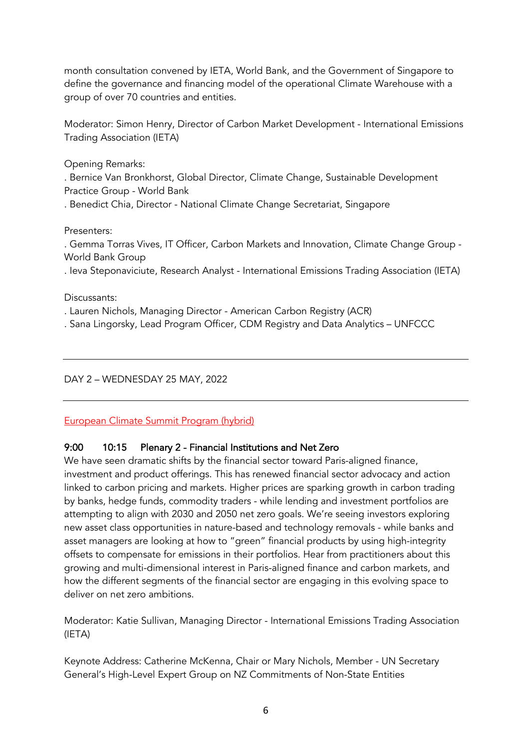month consultation convened by IETA, World Bank, and the Government of Singapore to define the governance and financing model of the operational Climate Warehouse with a group of over 70 countries and entities.

Moderator: Simon Henry, Director of Carbon Market Development - International Emissions Trading Association (IETA)

Opening Remarks:

. Bernice Van Bronkhorst, Global Director, Climate Change, Sustainable Development Practice Group - World Bank

. Benedict Chia, Director - National Climate Change Secretariat, Singapore

#### Presenters:

. Gemma Torras Vives, IT Officer, Carbon Markets and Innovation, Climate Change Group - World Bank Group

. Ieva Steponaviciute, Research Analyst - International Emissions Trading Association (IETA)

Discussants:

- . Lauren Nichols, Managing Director American Carbon Registry (ACR)
- . Sana Lingorsky, Lead Program Officer, CDM Registry and Data Analytics UNFCCC

### DAY 2 – WEDNESDAY 25 MAY, 2022

#### European Climate Summit Program (hybrid)

### 9:00 10:15 Plenary 2 - Financial Institutions and Net Zero

We have seen dramatic shifts by the financial sector toward Paris-aligned finance, investment and product offerings. This has renewed financial sector advocacy and action linked to carbon pricing and markets. Higher prices are sparking growth in carbon trading by banks, hedge funds, commodity traders - while lending and investment portfolios are attempting to align with 2030 and 2050 net zero goals. We're seeing investors exploring new asset class opportunities in nature-based and technology removals - while banks and asset managers are looking at how to "green" financial products by using high-integrity offsets to compensate for emissions in their portfolios. Hear from practitioners about this growing and multi-dimensional interest in Paris-aligned finance and carbon markets, and how the different segments of the financial sector are engaging in this evolving space to deliver on net zero ambitions.

Moderator: Katie Sullivan, Managing Director - International Emissions Trading Association (IETA)

Keynote Address: Catherine McKenna, Chair or Mary Nichols, Member - UN Secretary General's High-Level Expert Group on NZ Commitments of Non-State Entities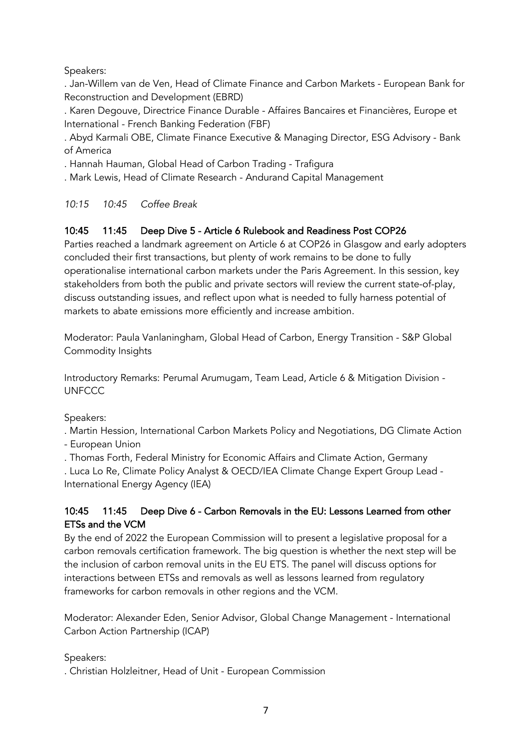### Speakers:

. Jan-Willem van de Ven, Head of Climate Finance and Carbon Markets - European Bank for Reconstruction and Development (EBRD)

. Karen Degouve, Directrice Finance Durable - Affaires Bancaires et Financières, Europe et International - French Banking Federation (FBF)

. Abyd Karmali OBE, Climate Finance Executive & Managing Director, ESG Advisory - Bank of America

. Hannah Hauman, Global Head of Carbon Trading - Trafigura

. Mark Lewis, Head of Climate Research - Andurand Capital Management

*10:15 10:45 Coffee Break*

### 10:45 11:45 Deep Dive 5 - Article 6 Rulebook and Readiness Post COP26

Parties reached a landmark agreement on Article 6 at COP26 in Glasgow and early adopters concluded their first transactions, but plenty of work remains to be done to fully operationalise international carbon markets under the Paris Agreement. In this session, key stakeholders from both the public and private sectors will review the current state-of-play, discuss outstanding issues, and reflect upon what is needed to fully harness potential of markets to abate emissions more efficiently and increase ambition.

Moderator: Paula Vanlaningham, Global Head of Carbon, Energy Transition - S&P Global Commodity Insights

Introductory Remarks: Perumal Arumugam, Team Lead, Article 6 & Mitigation Division - **UNFCCC** 

Speakers:

. Martin Hession, International Carbon Markets Policy and Negotiations, DG Climate Action

- European Union

. Thomas Forth, Federal Ministry for Economic Affairs and Climate Action, Germany

. Luca Lo Re, Climate Policy Analyst & OECD/IEA Climate Change Expert Group Lead - International Energy Agency (IEA)

### 10:45 11:45 Deep Dive 6 - Carbon Removals in the EU: Lessons Learned from other ETSs and the VCM

By the end of 2022 the European Commission will to present a legislative proposal for a carbon removals certification framework. The big question is whether the next step will be the inclusion of carbon removal units in the EU ETS. The panel will discuss options for interactions between ETSs and removals as well as lessons learned from regulatory frameworks for carbon removals in other regions and the VCM.

Moderator: Alexander Eden, Senior Advisor, Global Change Management - International Carbon Action Partnership (ICAP)

Speakers:

. Christian Holzleitner, Head of Unit - European Commission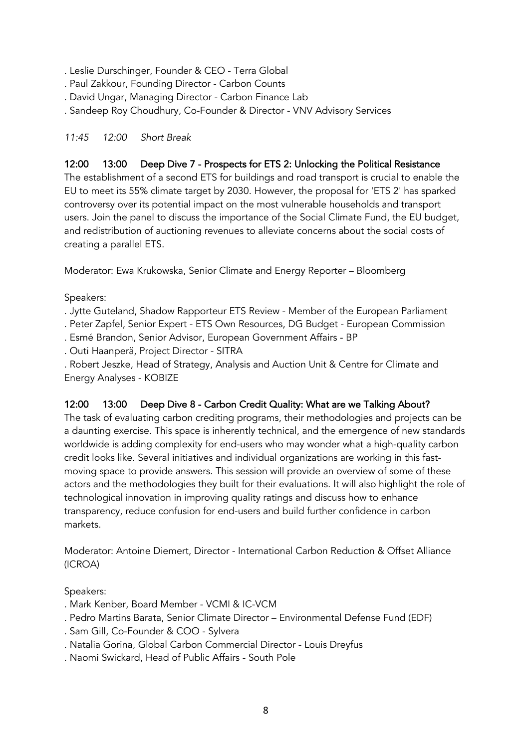. Leslie Durschinger, Founder & CEO - Terra Global

- . Paul Zakkour, Founding Director Carbon Counts
- . David Ungar, Managing Director Carbon Finance Lab
- . Sandeep Roy Choudhury, Co-Founder & Director VNV Advisory Services

### *11:45 12:00 Short Break*

### 12:00 13:00 Deep Dive 7 - Prospects for ETS 2: Unlocking the Political Resistance

The establishment of a second ETS for buildings and road transport is crucial to enable the EU to meet its 55% climate target by 2030. However, the proposal for 'ETS 2' has sparked controversy over its potential impact on the most vulnerable households and transport users. Join the panel to discuss the importance of the Social Climate Fund, the EU budget, and redistribution of auctioning revenues to alleviate concerns about the social costs of creating a parallel ETS.

Moderator: Ewa Krukowska, Senior Climate and Energy Reporter – Bloomberg

Speakers:

. Jytte Guteland, Shadow Rapporteur ETS Review - Member of the European Parliament

. Peter Zapfel, Senior Expert - ETS Own Resources, DG Budget - European Commission

. Esmé Brandon, Senior Advisor, European Government Affairs - BP

. Outi Haanperä, Project Director - SITRA

. Robert Jeszke, Head of Strategy, Analysis and Auction Unit & Centre for Climate and Energy Analyses - KOBIZE

#### 12:00 13:00 Deep Dive 8 - Carbon Credit Quality: What are we Talking About?

The task of evaluating carbon crediting programs, their methodologies and projects can be a daunting exercise. This space is inherently technical, and the emergence of new standards worldwide is adding complexity for end-users who may wonder what a high-quality carbon credit looks like. Several initiatives and individual organizations are working in this fastmoving space to provide answers. This session will provide an overview of some of these actors and the methodologies they built for their evaluations. It will also highlight the role of technological innovation in improving quality ratings and discuss how to enhance transparency, reduce confusion for end-users and build further confidence in carbon markets.

Moderator: Antoine Diemert, Director - International Carbon Reduction & Offset Alliance (ICROA)

Speakers:

- . Mark Kenber, Board Member VCMI & IC-VCM
- . Pedro Martins Barata, Senior Climate Director Environmental Defense Fund (EDF)
- . Sam Gill, Co-Founder & COO Sylvera
- . Natalia Gorina, Global Carbon Commercial Director Louis Dreyfus
- . Naomi Swickard, Head of Public Affairs South Pole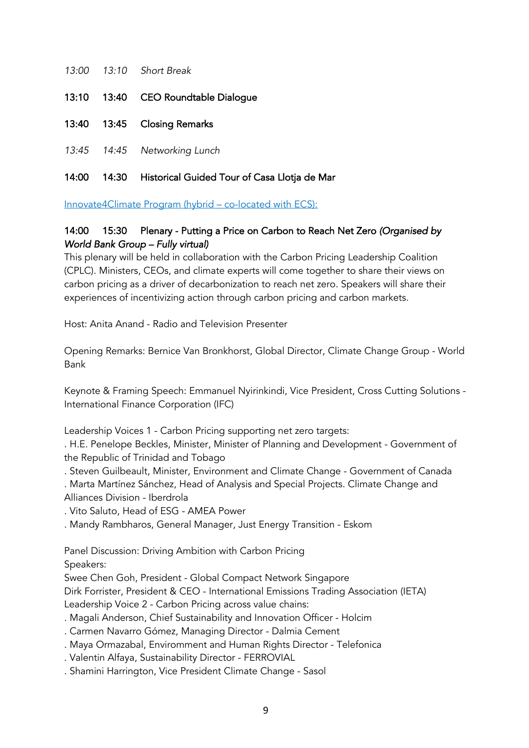|  | 13:00 13:10 Short Break             |
|--|-------------------------------------|
|  | 13:10 13:40 CEO Roundtable Dialogue |
|  | 13:40 13:45 Closing Remarks         |
|  | 13:45 14:45 Networking Lunch        |

# 14:00 14:30 Historical Guided Tour of Casa Llotja de Mar

Innovate4Climate Program (hybrid – co-located with ECS):

### 14:00 15:30 Plenary - Putting a Price on Carbon to Reach Net Zero *(Organised by World Bank Group – Fully virtual)*

This plenary will be held in collaboration with the Carbon Pricing Leadership Coalition (CPLC). Ministers, CEOs, and climate experts will come together to share their views on carbon pricing as a driver of decarbonization to reach net zero. Speakers will share their experiences of incentivizing action through carbon pricing and carbon markets.

Host: Anita Anand - Radio and Television Presenter

Opening Remarks: Bernice Van Bronkhorst, Global Director, Climate Change Group - World Bank

Keynote & Framing Speech: Emmanuel Nyirinkindi, Vice President, Cross Cutting Solutions - International Finance Corporation (IFC)

Leadership Voices 1 - Carbon Pricing supporting net zero targets:

. H.E. Penelope Beckles, Minister, Minister of Planning and Development - Government of the Republic of Trinidad and Tobago

. Steven Guilbeault, Minister, Environment and Climate Change - Government of Canada

. Marta Martínez Sánchez, Head of Analysis and Special Projects. Climate Change and Alliances Division - Iberdrola

. Vito Saluto, Head of ESG - AMEA Power

. Mandy Rambharos, General Manager, Just Energy Transition - Eskom

Panel Discussion: Driving Ambition with Carbon Pricing

Speakers:

Swee Chen Goh, President - Global Compact Network Singapore

Dirk Forrister, President & CEO - International Emissions Trading Association (IETA)

Leadership Voice 2 - Carbon Pricing across value chains:

. Magali Anderson, Chief Sustainability and Innovation Officer - Holcim

. Carmen Navarro Gómez, Managing Director - Dalmia Cement

. Maya Ormazabal, Enviromment and Human Rights Director - Telefonica

. Valentin Alfaya, Sustainability Director - FERROVIAL

. Shamini Harrington, Vice President Climate Change - Sasol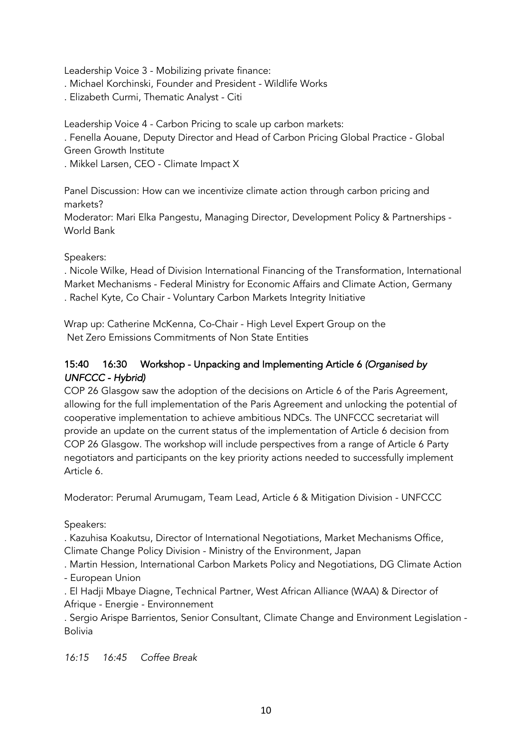Leadership Voice 3 - Mobilizing private finance:

- . Michael Korchinski, Founder and President Wildlife Works
- . Elizabeth Curmi, Thematic Analyst Citi

Leadership Voice 4 - Carbon Pricing to scale up carbon markets: . Fenella Aouane, Deputy Director and Head of Carbon Pricing Global Practice - Global Green Growth Institute

. Mikkel Larsen, CEO - Climate Impact X

Panel Discussion: How can we incentivize climate action through carbon pricing and markets?

Moderator: Mari Elka Pangestu, Managing Director, Development Policy & Partnerships - World Bank

#### Speakers:

. Nicole Wilke, Head of Division International Financing of the Transformation, International Market Mechanisms - Federal Ministry for Economic Affairs and Climate Action, Germany . Rachel Kyte, Co Chair - Voluntary Carbon Markets Integrity Initiative

Wrap up: Catherine McKenna, Co-Chair - High Level Expert Group on the Net Zero Emissions Commitments of Non State Entities

### 15:40 16:30 Workshop - Unpacking and Implementing Article 6 *(Organised by UNFCCC - Hybrid)*

COP 26 Glasgow saw the adoption of the decisions on Article 6 of the Paris Agreement, allowing for the full implementation of the Paris Agreement and unlocking the potential of cooperative implementation to achieve ambitious NDCs. The UNFCCC secretariat will provide an update on the current status of the implementation of Article 6 decision from COP 26 Glasgow. The workshop will include perspectives from a range of Article 6 Party negotiators and participants on the key priority actions needed to successfully implement Article 6.

Moderator: Perumal Arumugam, Team Lead, Article 6 & Mitigation Division - UNFCCC

Speakers:

. Kazuhisa Koakutsu, Director of International Negotiations, Market Mechanisms Office, Climate Change Policy Division - Ministry of the Environment, Japan

. Martin Hession, International Carbon Markets Policy and Negotiations, DG Climate Action - European Union

. El Hadji Mbaye Diagne, Technical Partner, West African Alliance (WAA) & Director of Afrique - Energie - Environnement

. Sergio Arispe Barrientos, Senior Consultant, Climate Change and Environment Legislation - Bolivia

*16:15 16:45 Coffee Break*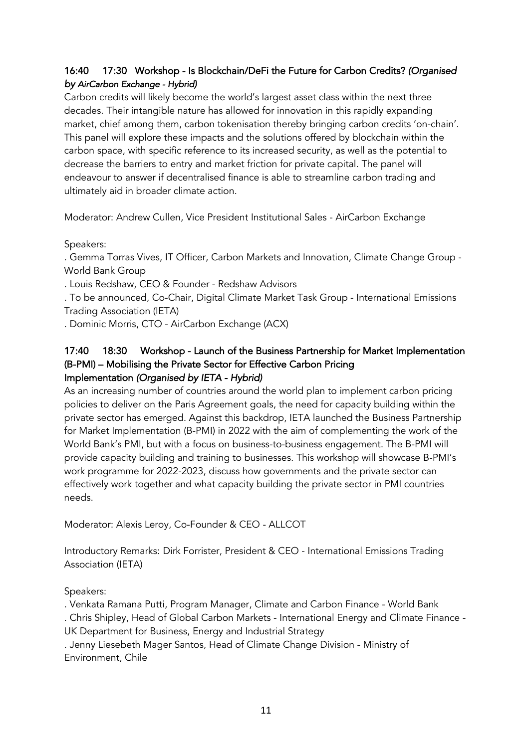# 16:40 17:30 Workshop - Is Blockchain/DeFi the Future for Carbon Credits? *(Organised by AirCarbon Exchange - Hybrid)*

Carbon credits will likely become the world's largest asset class within the next three decades. Their intangible nature has allowed for innovation in this rapidly expanding market, chief among them, carbon tokenisation thereby bringing carbon credits 'on-chain'. This panel will explore these impacts and the solutions offered by blockchain within the carbon space, with specific reference to its increased security, as well as the potential to decrease the barriers to entry and market friction for private capital. The panel will endeavour to answer if decentralised finance is able to streamline carbon trading and ultimately aid in broader climate action.

Moderator: Andrew Cullen, Vice President Institutional Sales - AirCarbon Exchange

Speakers:

. Gemma Torras Vives, IT Officer, Carbon Markets and Innovation, Climate Change Group - World Bank Group

. Louis Redshaw, CEO & Founder - Redshaw Advisors

. To be announced, Co-Chair, Digital Climate Market Task Group - International Emissions Trading Association (IETA)

. Dominic Morris, CTO - AirCarbon Exchange (ACX)

#### 17:40 18:30 Workshop - Launch of the Business Partnership for Market Implementation (B-PMI) – Mobilising the Private Sector for Effective Carbon Pricing Implementation *(Organised by IETA - Hybrid)*

As an increasing number of countries around the world plan to implement carbon pricing policies to deliver on the Paris Agreement goals, the need for capacity building within the private sector has emerged. Against this backdrop, IETA launched the Business Partnership for Market Implementation (B-PMI) in 2022 with the aim of complementing the work of the World Bank's PMI, but with a focus on business-to-business engagement. The B-PMI will provide capacity building and training to businesses. This workshop will showcase B-PMI's work programme for 2022-2023, discuss how governments and the private sector can effectively work together and what capacity building the private sector in PMI countries needs.

Moderator: Alexis Leroy, Co-Founder & CEO - ALLCOT

Introductory Remarks: Dirk Forrister, President & CEO - International Emissions Trading Association (IETA)

Speakers:

. Venkata Ramana Putti, Program Manager, Climate and Carbon Finance - World Bank

. Chris Shipley, Head of Global Carbon Markets - International Energy and Climate Finance - UK Department for Business, Energy and Industrial Strategy

. Jenny Liesebeth Mager Santos, Head of Climate Change Division - Ministry of Environment, Chile